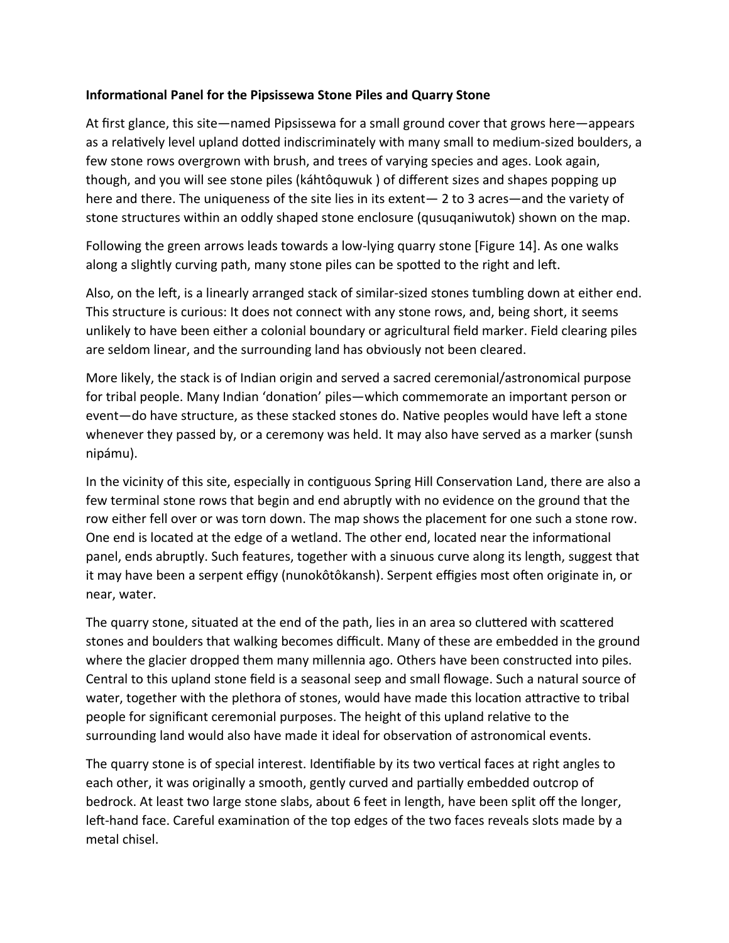## **Informational Panel for the Pipsissewa Stone Piles and Quarry Stone**

At first glance, this site—named Pipsissewa for a small ground cover that grows here—appears as a relatively level upland dotted indiscriminately with many small to medium-sized boulders, a few stone rows overgrown with brush, and trees of varying species and ages. Look again, though, and you will see stone piles (káhtôquwuk ) of different sizes and shapes popping up here and there. The uniqueness of the site lies in its extent— 2 to 3 acres—and the variety of stone structures within an oddly shaped stone enclosure (qusuqaniwutok) shown on the map.

Following the green arrows leads towards a low-lying quarry stone [Figure 14]. As one walks along a slightly curving path, many stone piles can be spotted to the right and left.

Also, on the left, is a linearly arranged stack of similar-sized stones tumbling down at either end. This structure is curious: It does not connect with any stone rows, and, being short, it seems unlikely to have been either a colonial boundary or agricultural field marker. Field clearing piles are seldom linear, and the surrounding land has obviously not been cleared.

More likely, the stack is of Indian origin and served a sacred ceremonial/astronomical purpose for tribal people. Many Indian 'donation' piles—which commemorate an important person or event—do have structure, as these stacked stones do. Native peoples would have left a stone whenever they passed by, or a ceremony was held. It may also have served as a marker (sunsh nipámu).

In the vicinity of this site, especially in contiguous Spring Hill Conservation Land, there are also a few terminal stone rows that begin and end abruptly with no evidence on the ground that the row either fell over or was torn down. The map shows the placement for one such a stone row. One end is located at the edge of a wetland. The other end, located near the informational panel, ends abruptly. Such features, together with a sinuous curve along its length, suggest that it may have been a serpent effigy (nunokôtôkansh). Serpent effigies most often originate in, or near, water.

The quarry stone, situated at the end of the path, lies in an area so cluttered with scattered stones and boulders that walking becomes difficult. Many of these are embedded in the ground where the glacier dropped them many millennia ago. Others have been constructed into piles. Central to this upland stone field is a seasonal seep and small flowage. Such a natural source of water, together with the plethora of stones, would have made this location attractive to tribal people for significant ceremonial purposes. The height of this upland relative to the surrounding land would also have made it ideal for observation of astronomical events.

The quarry stone is of special interest. Identifiable by its two vertical faces at right angles to each other, it was originally a smooth, gently curved and partially embedded outcrop of bedrock. At least two large stone slabs, about 6 feet in length, have been split off the longer, left-hand face. Careful examination of the top edges of the two faces reveals slots made by a metal chisel.